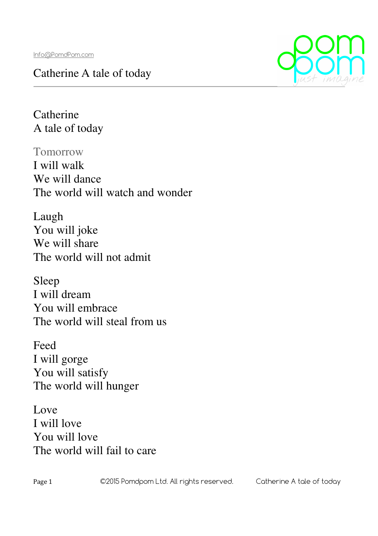## Catherine A tale of today



**Catherine** A tale of today

Tomorrow I will walk We will dance The world will watch and wonder

Laugh You will joke We will share The world will not admit

Sleep I will dream You will embrace The world will steal from us

Feed I will gorge You will satisfy The world will hunger

Love I will love You will love The world will fail to care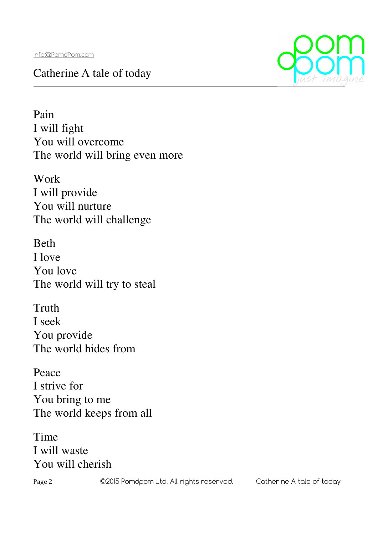## Catherine A tale of today



Pain I will fight You will overcome The world will bring even more

Work I will provide You will nurture The world will challenge

Beth I love You love The world will try to steal

Truth I seek You provide The world hides from

Peace I strive for You bring to me The world keeps from all

Time I will waste You will cherish

Page 2 C2015 Pomdpom Ltd. All rights reserved. Catherine A tale of today